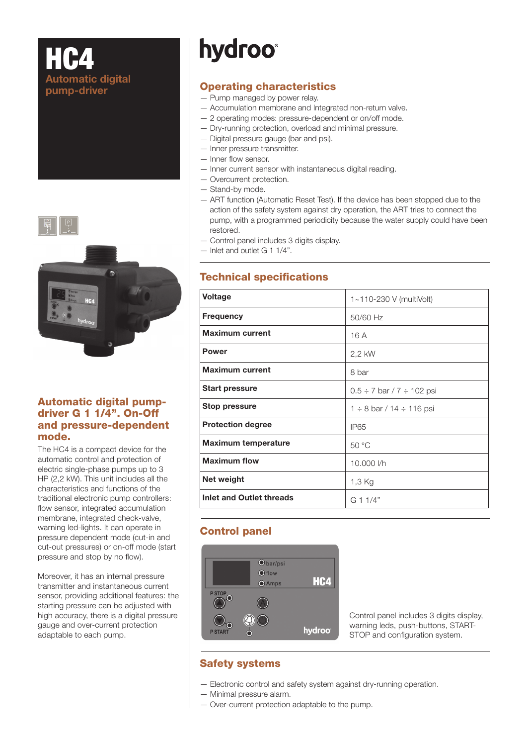# $H$ Automatic digital pump-driver



#### Automatic digital pumpdriver G 1 1/4". On-Off and pressure-dependent mode.

The HC4 is a compact device for the automatic control and protection of electric single-phase pumps up to 3 HP (2,2 kW). This unit includes all the characteristics and functions of the traditional electronic pump controllers: flow sensor, integrated accumulation membrane, integrated check-valve, warning led-lights. It can operate in pressure dependent mode (cut-in and cut-out pressures) or on-off mode (start pressure and stop by no flow).

Moreover, it has an internal pressure transmitter and instantaneous current sensor, providing additional features: the starting pressure can be adjusted with high accuracy, there is a digital pressure gauge and over-current protection adaptable to each pump.

# **hydroo**<sup>®</sup>

## Operating characteristics

- Pump managed by power relay.
- Accumulation membrane and Integrated non-return valve.
- 2 operating modes: pressure-dependent or on/off mode.
- Dry-running protection, overload and minimal pressure.
- Digital pressure gauge (bar and psi).
- Inner pressure transmitter.
- Inner flow sensor.
- Inner current sensor with instantaneous digital reading.
- Overcurrent protection.
- Stand-by mode.
- ART function (Automatic Reset Test). If the device has been stopped due to the action of the safety system against dry operation, the ART tries to connect the pump, with a programmed periodicity because the water supply could have been restored.
- Control panel includes 3 digits display.
- Inlet and outlet G 1 1/4".

#### **Technical specifications**

| <b>Voltage</b>                  | 1~110-230 V (multiVolt)             |
|---------------------------------|-------------------------------------|
| <b>Frequency</b>                | 50/60 Hz                            |
| <b>Maximum current</b>          | 16 A                                |
| <b>Power</b>                    | 2.2 kW                              |
| <b>Maximum current</b>          | 8 bar                               |
| <b>Start pressure</b>           | $0.5 \div 7$ bar / 7 $\div$ 102 psi |
| <b>Stop pressure</b>            | 1 ÷ 8 bar / 14 ÷ 116 psi            |
| <b>Protection degree</b>        | <b>IP65</b>                         |
| <b>Maximum temperature</b>      | 50 °C                               |
| <b>Maximum flow</b>             | 10,000 l/h                          |
| Net weight                      | 1,3 Kg                              |
| <b>Inlet and Outlet threads</b> | G 1 1/4"                            |

## Control panel



Control panel includes 3 digits display, warning leds, push-buttons, START-STOP and configuration system.

#### Safety systems

- Electronic control and safety system against dry-running operation.
- Minimal pressure alarm.
- Over-current protection adaptable to the pump.